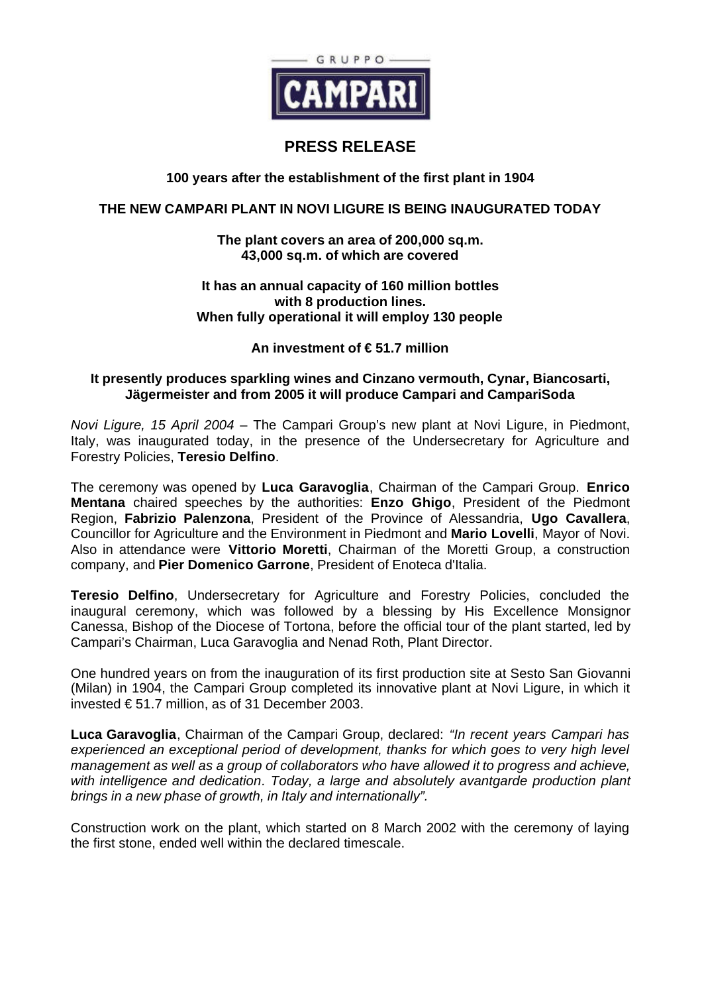

# **PRESS RELEASE**

# **100 years after the establishment of the first plant in 1904**

## **THE NEW CAMPARI PLANT IN NOVI LIGURE IS BEING INAUGURATED TODAY**

### **The plant covers an area of 200,000 sq.m. 43,000 sq.m. of which are covered**

#### **It has an annual capacity of 160 million bottles with 8 production lines. When fully operational it will employ 130 people**

### **An investment of € 51.7 million**

### **It presently produces sparkling wines and Cinzano vermouth, Cynar, Biancosarti, Jägermeister and from 2005 it will produce Campari and CampariSoda**

*Novi Ligure, 15 April 2004* – The Campari Group's new plant at Novi Ligure, in Piedmont, Italy, was inaugurated today, in the presence of the Undersecretary for Agriculture and Forestry Policies, **Teresio Delfino**.

The ceremony was opened by **Luca Garavoglia**, Chairman of the Campari Group. **Enrico Mentana** chaired speeches by the authorities: **Enzo Ghigo**, President of the Piedmont Region, **Fabrizio Palenzona**, President of the Province of Alessandria, **Ugo Cavallera**, Councillor for Agriculture and the Environment in Piedmont and **Mario Lovelli**, Mayor of Novi. Also in attendance were **Vittorio Moretti**, Chairman of the Moretti Group, a construction company, and **Pier Domenico Garrone**, President of Enoteca d'Italia.

**Teresio Delfino**, Undersecretary for Agriculture and Forestry Policies, concluded the inaugural ceremony, which was followed by a blessing by His Excellence Monsignor Canessa, Bishop of the Diocese of Tortona, before the official tour of the plant started, led by Campari's Chairman, Luca Garavoglia and Nenad Roth, Plant Director.

One hundred years on from the inauguration of its first production site at Sesto San Giovanni (Milan) in 1904, the Campari Group completed its innovative plant at Novi Ligure, in which it invested € 51.7 million, as of 31 December 2003.

**Luca Garavoglia**, Chairman of the Campari Group, declared: *"In recent years Campari has experienced an exceptional period of development, thanks for which goes to very high level management as well as a group of collaborators who have allowed it to progress and achieve, with intelligence and dedication. Today, a large and absolutely avantgarde production plant brings in a new phase of growth, in Italy and internationally".*

Construction work on the plant, which started on 8 March 2002 with the ceremony of laying the first stone, ended well within the declared timescale.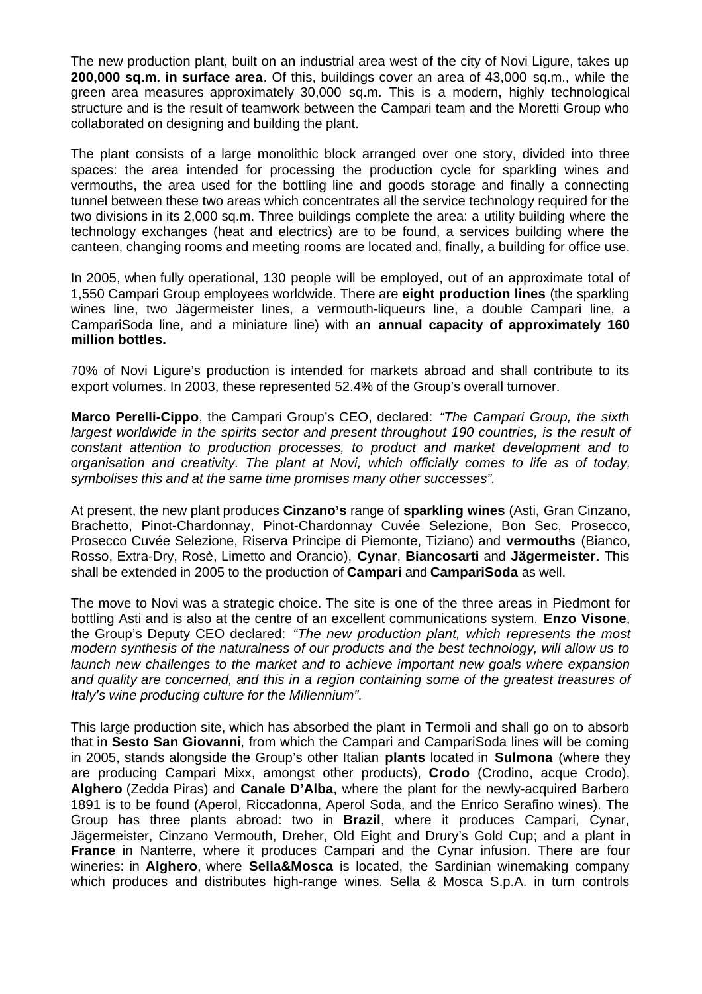The new production plant, built on an industrial area west of the city of Novi Ligure, takes up **200,000 sq.m. in surface area**. Of this, buildings cover an area of 43,000 sq.m., while the green area measures approximately 30,000 sq.m. This is a modern, highly technological structure and is the result of teamwork between the Campari team and the Moretti Group who collaborated on designing and building the plant.

The plant consists of a large monolithic block arranged over one story, divided into three spaces: the area intended for processing the production cycle for sparkling wines and vermouths, the area used for the bottling line and goods storage and finally a connecting tunnel between these two areas which concentrates all the service technology required for the two divisions in its 2,000 sq.m. Three buildings complete the area: a utility building where the technology exchanges (heat and electrics) are to be found, a services building where the canteen, changing rooms and meeting rooms are located and, finally, a building for office use.

In 2005, when fully operational, 130 people will be employed, out of an approximate total of 1,550 Campari Group employees worldwide. There are **eight production lines** (the sparkling wines line, two Jägermeister lines, a vermouth-liqueurs line, a double Campari line, a CampariSoda line, and a miniature line) with an **annual capacity of approximately 160 million bottles.**

70% of Novi Ligure's production is intended for markets abroad and shall contribute to its export volumes. In 2003, these represented 52.4% of the Group's overall turnover.

**Marco Perelli-Cippo**, the Campari Group's CEO, declared: *"The Campari Group, the sixth largest worldwide in the spirits sector and present throughout 190 countries, is the result of constant attention to production processes, to product and market development and to organisation and creativity. The plant at Novi, which officially comes to life as of today, symbolises this and at the same time promises many other successes".*

At present, the new plant produces **Cinzano's** range of **sparkling wines** (Asti, Gran Cinzano, Brachetto, Pinot-Chardonnay, Pinot-Chardonnay Cuvée Selezione, Bon Sec, Prosecco, Prosecco Cuvée Selezione, Riserva Principe di Piemonte, Tiziano) and **vermouths** (Bianco, Rosso, Extra-Dry, Rosè, Limetto and Orancio), **Cynar**, **Biancosarti** and **Jägermeister.** This shall be extended in 2005 to the production of **Campari** and **CampariSoda** as well.

The move to Novi was a strategic choice. The site is one of the three areas in Piedmont for bottling Asti and is also at the centre of an excellent communications system. **Enzo Visone**, the Group's Deputy CEO declared: *"The new production plant, which represents the most modern synthesis of the naturalness of our products and the best technology, will allow us to launch new challenges to the market and to achieve important new goals where expansion and quality are concerned, and this in a region containing some of the greatest treasures of Italy's wine producing culture for the Millennium".*

This large production site, which has absorbed the plant in Termoli and shall go on to absorb that in **Sesto San Giovanni**, from which the Campari and CampariSoda lines will be coming in 2005, stands alongside the Group's other Italian **plants** located in **Sulmona** (where they are producing Campari Mixx, amongst other products), **Crodo** (Crodino, acque Crodo), **Alghero** (Zedda Piras) and **Canale D'Alba**, where the plant for the newly-acquired Barbero 1891 is to be found (Aperol, Riccadonna, Aperol Soda, and the Enrico Serafino wines). The Group has three plants abroad: two in **Brazil**, where it produces Campari, Cynar, Jägermeister, Cinzano Vermouth, Dreher, Old Eight and Drury's Gold Cup; and a plant in **France** in Nanterre, where it produces Campari and the Cynar infusion. There are four wineries: in **Alghero**, where **Sella&Mosca** is located, the Sardinian winemaking company which produces and distributes high-range wines. Sella & Mosca S.p.A. in turn controls